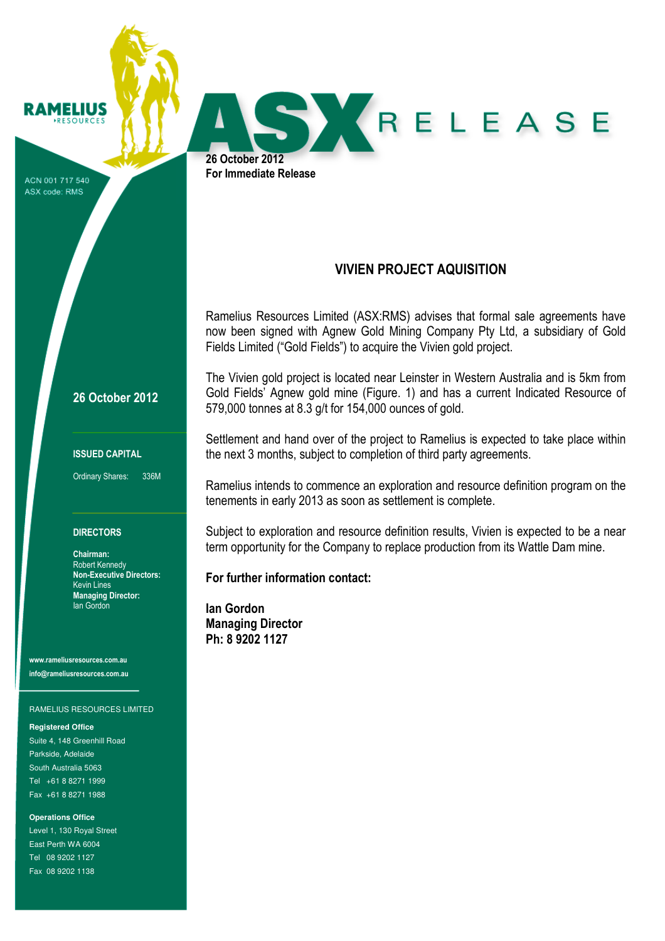**RAMELIUS** 

ACN 001 717 540 ASX code: RMS

26 October 2012

ISSUED CAPITAL

Ordinary Shares: 336M

## **DIRECTORS**

Chairman: Robert Kennedy Non-Executive Directors: Kevin Lines Managing Director: Ian Gordon

www.rameliusresources.com.au info@rameliusresources.com.au

## RAMELIUS RESOURCES LIMITED

**Registered Office** 

Suite 4, 148 Greenhill Road Parkside, Adelaide South Australia 5063 Tel +61 8 8271 1999 Fax +61 8 8271 1988

**Operations Office**  Level 1, 130 Royal Street East Perth WA 6004 Tel 08 9202 1127 Fax 08 9202 1138

VIVIEN PROJECT AQUISITION

SYRELEASE

Ramelius Resources Limited (ASX:RMS) advises that formal sale agreements have now been signed with Agnew Gold Mining Company Pty Ltd, a subsidiary of Gold Fields Limited ("Gold Fields") to acquire the Vivien gold project.

The Vivien gold project is located near Leinster in Western Australia and is 5km from Gold Fields' Agnew gold mine (Figure. 1) and has a current Indicated Resource of 579,000 tonnes at 8.3 g/t for 154,000 ounces of gold.

Settlement and hand over of the project to Ramelius is expected to take place within the next 3 months, subject to completion of third party agreements.

Ramelius intends to commence an exploration and resource definition program on the tenements in early 2013 as soon as settlement is complete.

Subject to exploration and resource definition results, Vivien is expected to be a near term opportunity for the Company to replace production from its Wattle Dam mine.

For further information contact:

Ian Gordon Managing Director Ph: 8 9202 1127

26 October 2012 For Immediate Release